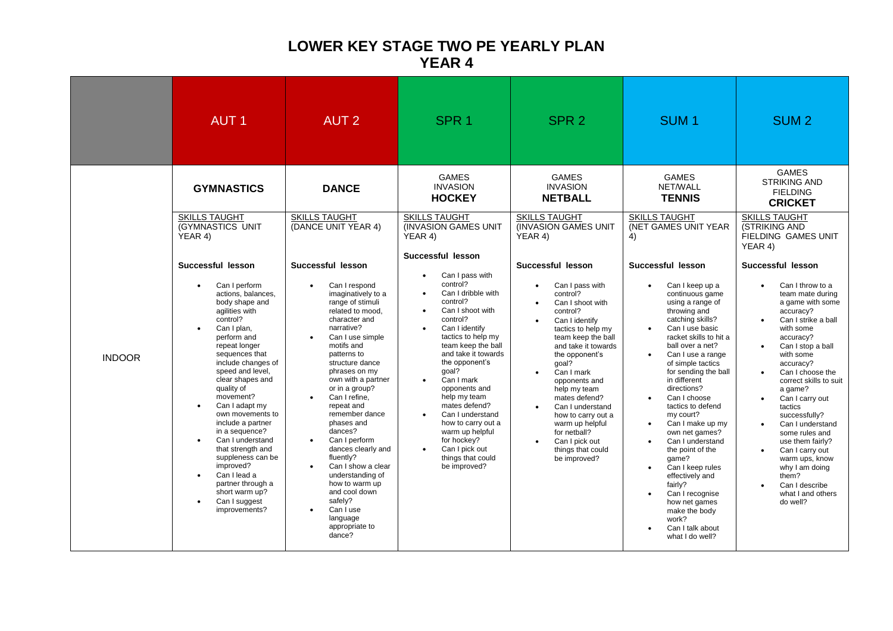## **LOWER KEY STAGE TWO PE YEARLY PLAN YEAR 4**

|               | <b>AUT1</b>                                                                                                                                                                                                                                                                                                                                                                                                                                                                                                                                                             | <b>AUT 2</b>                                                                                                                                                                                                                                                                                                                                                                                                                                                                                                                                                                   | SPR <sub>1</sub>                                                                                                                                                                                                                                                                                                                                                                                                              | SPR <sub>2</sub>                                                                                                                                                                                                                                                                                                                                                                                                                                                                   | SUM <sub>1</sub>                                                                                                                                                                                                                                                                                                                                                                                                                                                                                                                                                                                                                                                | SUM <sub>2</sub>                                                                                                                                                                                                                                                                                                                                                                                                                                                                                                       |
|---------------|-------------------------------------------------------------------------------------------------------------------------------------------------------------------------------------------------------------------------------------------------------------------------------------------------------------------------------------------------------------------------------------------------------------------------------------------------------------------------------------------------------------------------------------------------------------------------|--------------------------------------------------------------------------------------------------------------------------------------------------------------------------------------------------------------------------------------------------------------------------------------------------------------------------------------------------------------------------------------------------------------------------------------------------------------------------------------------------------------------------------------------------------------------------------|-------------------------------------------------------------------------------------------------------------------------------------------------------------------------------------------------------------------------------------------------------------------------------------------------------------------------------------------------------------------------------------------------------------------------------|------------------------------------------------------------------------------------------------------------------------------------------------------------------------------------------------------------------------------------------------------------------------------------------------------------------------------------------------------------------------------------------------------------------------------------------------------------------------------------|-----------------------------------------------------------------------------------------------------------------------------------------------------------------------------------------------------------------------------------------------------------------------------------------------------------------------------------------------------------------------------------------------------------------------------------------------------------------------------------------------------------------------------------------------------------------------------------------------------------------------------------------------------------------|------------------------------------------------------------------------------------------------------------------------------------------------------------------------------------------------------------------------------------------------------------------------------------------------------------------------------------------------------------------------------------------------------------------------------------------------------------------------------------------------------------------------|
|               | <b>GYMNASTICS</b>                                                                                                                                                                                                                                                                                                                                                                                                                                                                                                                                                       | <b>DANCE</b>                                                                                                                                                                                                                                                                                                                                                                                                                                                                                                                                                                   | <b>GAMES</b><br><b>INVASION</b><br><b>HOCKEY</b>                                                                                                                                                                                                                                                                                                                                                                              | <b>GAMES</b><br><b>INVASION</b><br><b>NETBALL</b>                                                                                                                                                                                                                                                                                                                                                                                                                                  | <b>GAMES</b><br>NET/WALL<br><b>TENNIS</b>                                                                                                                                                                                                                                                                                                                                                                                                                                                                                                                                                                                                                       | <b>GAMES</b><br><b>STRIKING AND</b><br><b>FIELDING</b><br><b>CRICKET</b>                                                                                                                                                                                                                                                                                                                                                                                                                                               |
| <b>INDOOR</b> | <b>SKILLS TAUGHT</b><br><b>(GYMNASTICS UNIT)</b><br>YEAR 4)                                                                                                                                                                                                                                                                                                                                                                                                                                                                                                             | <b>SKILLS TAUGHT</b><br>(DANCE UNIT YEAR 4)                                                                                                                                                                                                                                                                                                                                                                                                                                                                                                                                    | <b>SKILLS TAUGHT</b><br>(INVASION GAMES UNIT)<br>YEAR 4)<br>Successful lesson                                                                                                                                                                                                                                                                                                                                                 | <b>SKILLS TAUGHT</b><br><b>INVASION GAMES UNIT</b><br>YEAR 4)                                                                                                                                                                                                                                                                                                                                                                                                                      | <b>SKILLS TAUGHT</b><br>(NET GAMES UNIT YEAR<br>4)                                                                                                                                                                                                                                                                                                                                                                                                                                                                                                                                                                                                              | <b>SKILLS TAUGHT</b><br><b>(STRIKING AND</b><br><b>FIELDING GAMES UNIT</b><br>YEAR 4)                                                                                                                                                                                                                                                                                                                                                                                                                                  |
|               | Successful lesson<br>Can I perform<br>actions, balances,<br>body shape and<br>agilities with<br>control?<br>Can I plan.<br>perform and<br>repeat longer<br>sequences that<br>include changes of<br>speed and level,<br>clear shapes and<br>quality of<br>movement?<br>Can I adapt my<br>$\bullet$<br>own movements to<br>include a partner<br>in a sequence?<br>Can I understand<br>$\bullet$<br>that strength and<br>suppleness can be<br>improved?<br>Can I lead a<br>$\bullet$<br>partner through a<br>short warm up?<br>Can I suggest<br>$\bullet$<br>improvements? | Successful lesson<br>Can I respond<br>$\bullet$<br>imaginatively to a<br>range of stimuli<br>related to mood,<br>character and<br>narrative?<br>Can I use simple<br>motifs and<br>patterns to<br>structure dance<br>phrases on my<br>own with a partner<br>or in a group?<br>Can I refine,<br>repeat and<br>remember dance<br>phases and<br>dances?<br>Can I perform<br>$\bullet$<br>dances clearly and<br>fluently?<br>Can I show a clear<br>$\bullet$<br>understanding of<br>how to warm up<br>and cool down<br>safelv?<br>Can I use<br>language<br>appropriate to<br>dance? | Can I pass with<br>control?<br>Can I dribble with<br>control?<br>Can I shoot with<br>control?<br>Can I identify<br>tactics to help my<br>team keep the ball<br>and take it towards<br>the opponent's<br>qoal?<br>Can I mark<br>opponents and<br>help my team<br>mates defend?<br>Can I understand<br>how to carry out a<br>warm up helpful<br>for hockey?<br>Can I pick out<br>$\bullet$<br>things that could<br>be improved? | Successful lesson<br>Can I pass with<br>$\bullet$<br>control?<br>Can I shoot with<br>$\bullet$<br>control?<br>Can I identify<br>$\bullet$<br>tactics to help my<br>team keep the ball<br>and take it towards<br>the opponent's<br>qoal?<br>Can I mark<br>$\bullet$<br>opponents and<br>help my team<br>mates defend?<br>Can I understand<br>$\bullet$<br>how to carry out a<br>warm up helpful<br>for netball?<br>Can I pick out<br>$\bullet$<br>things that could<br>be improved? | Successful lesson<br>Can I keep up a<br>continuous game<br>using a range of<br>throwing and<br>catching skills?<br>Can I use basic<br>racket skills to hit a<br>ball over a net?<br>Can I use a range<br>$\bullet$<br>of simple tactics<br>for sending the ball<br>in different<br>directions?<br>Can I choose<br>$\bullet$<br>tactics to defend<br>my court?<br>Can I make up my<br>$\bullet$<br>own net games?<br>Can I understand<br>$\bullet$<br>the point of the<br>qame?<br>Can I keep rules<br>$\bullet$<br>effectively and<br>fairly?<br>Can I recognise<br>$\bullet$<br>how net games<br>make the body<br>work?<br>Can I talk about<br>what I do well? | Successful lesson<br>Can I throw to a<br>team mate during<br>a game with some<br>accuracy?<br>Can I strike a ball<br>$\bullet$<br>with some<br>accuracy?<br>Can I stop a ball<br>$\bullet$<br>with some<br>accuracy?<br>Can I choose the<br>correct skills to suit<br>a game?<br>Can I carry out<br>$\bullet$<br>tactics<br>successfully?<br>Can I understand<br>some rules and<br>use them fairly?<br>Can I carry out<br>warm ups, know<br>why I am doing<br>them?<br>Can I describe<br>what I and others<br>do well? |